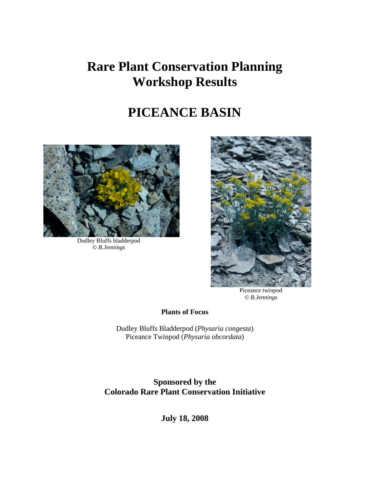# **Rare Plant Conservation Planning Workshop Results**

# **PICEANCE BASIN**



Dudley Bluffs bladderpod *© B.Jennings*



Piceance twinpod *© B.Jennings*

**Plants of Focus**

Dudley Bluffs Bladderpod (*Physaria congesta*) Piceance Twinpod (*Physaria obcordata*)

**Sponsored by the Colorado Rare Plant Conservation Initiative**

**July 18, 2008**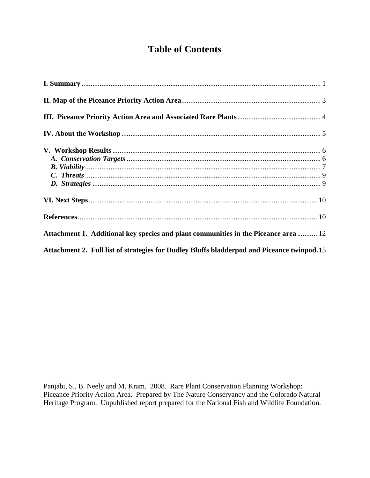# **Table of Contents**

| Attachment 1. Additional key species and plant communities in the Piceance area  12         |  |
|---------------------------------------------------------------------------------------------|--|
| Attachment 2. Full list of strategies for Dudley Bluffs bladderpod and Piceance twinpod. 15 |  |

Panjabi, S., B. Neely and M. Kram. 2008. Rare Plant Conservation Planning Workshop: Piceance Priority Action Area. Prepared by The Nature Conservancy and the Colorado Natural Heritage Program. Unpublished report prepared for the National Fish and Wildlife Foundation.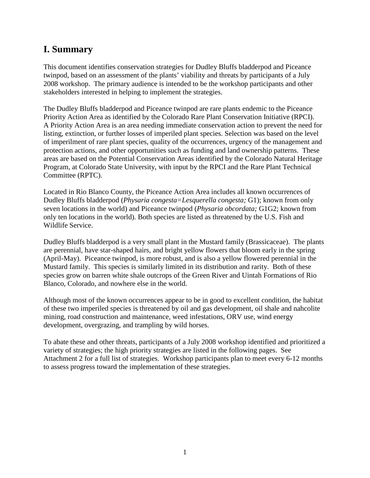# <span id="page-2-0"></span>**I. Summary**

This document identifies conservation strategies for Dudley Bluffs bladderpod and Piceance twinpod, based on an assessment of the plants' viability and threats by participants of a July 2008 workshop. The primary audience is intended to be the workshop participants and other stakeholders interested in helping to implement the strategies.

The Dudley Bluffs bladderpod and Piceance twinpod are rare plants endemic to the Piceance Priority Action Area as identified by the Colorado Rare Plant Conservation Initiative (RPCI). A Priority Action Area is an area needing immediate conservation action to prevent the need for listing, extinction, or further losses of imperiled plant species. Selection was based on the level of imperilment of rare plant species, quality of the occurrences, urgency of the management and protection actions, and other opportunities such as funding and land ownership patterns. These areas are based on the Potential Conservation Areas identified by the Colorado Natural Heritage Program, at Colorado State University, with input by the RPCI and the Rare Plant Technical Committee (RPTC).

Located in Rio Blanco County, the Piceance Action Area includes all known occurrences of Dudley Bluffs bladderpod (*Physaria congesta=Lesquerella congesta;* G1); known from only seven locations in the world) and Piceance twinpod (*Physaria obcordata;* G1G2; known from only ten locations in the world). Both species are listed as threatened by the U.S. Fish and Wildlife Service.

Dudley Bluffs bladderpod is a very small plant in the Mustard family (Brassicaceae). The plants are perennial, have star-shaped hairs, and bright yellow flowers that bloom early in the spring (April-May). Piceance twinpod, is more robust, and is also a yellow flowered perennial in the Mustard family. This species is similarly limited in its distribution and rarity. Both of these species grow on barren white shale outcrops of the Green River and Uintah Formations of Rio Blanco, Colorado, and nowhere else in the world.

Although most of the known occurrences appear to be in good to excellent condition, the habitat of these two imperiled species is threatened by oil and gas development, oil shale and nahcolite mining, road construction and maintenance, weed infestations, ORV use, wind energy development, overgrazing, and trampling by wild horses.

To abate these and other threats, participants of a July 2008 workshop identified and prioritized a variety of strategies; the high priority strategies are listed in the following pages. See Attachment 2 for a full list of strategies. Workshop participants plan to meet every 6-12 months to assess progress toward the implementation of these strategies.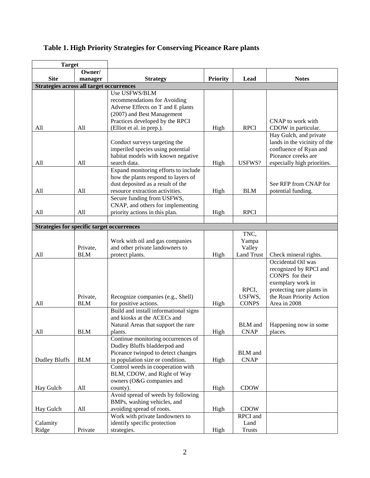| <b>Target</b>                                     |            |                                                                 |                 |                   |                                                       |
|---------------------------------------------------|------------|-----------------------------------------------------------------|-----------------|-------------------|-------------------------------------------------------|
|                                                   | Owner/     |                                                                 |                 |                   |                                                       |
| <b>Site</b>                                       | manager    | <b>Strategy</b>                                                 | <b>Priority</b> | Lead              | <b>Notes</b>                                          |
| <b>Strategies across all target occurrences</b>   |            | Use USFWS/BLM                                                   |                 |                   |                                                       |
|                                                   |            | recommendations for Avoiding                                    |                 |                   |                                                       |
|                                                   |            | Adverse Effects on T and E plants                               |                 |                   |                                                       |
|                                                   |            | (2007) and Best Management                                      |                 |                   |                                                       |
|                                                   |            | Practices developed by the RPCI                                 |                 |                   | CNAP to work with                                     |
| All                                               | All        | (Elliot et al. in prep.).                                       | High            | <b>RPCI</b>       | CDOW in particular.                                   |
|                                                   |            |                                                                 |                 |                   | Hay Gulch, and private                                |
|                                                   |            | Conduct surveys targeting the                                   |                 |                   | lands in the vicinity of the                          |
|                                                   |            | imperiled species using potential                               |                 |                   | confluence of Ryan and                                |
|                                                   |            | habitat models with known negative                              |                 |                   | Piceance creeks are                                   |
| All                                               | All        | search data.                                                    | High            | USFWS?            | especially high priorities.                           |
|                                                   |            | Expand monitoring efforts to include                            |                 |                   |                                                       |
|                                                   |            | how the plants respond to layers of                             |                 |                   |                                                       |
|                                                   |            | dust deposited as a result of the                               |                 |                   | See RFP from CNAP for                                 |
| All                                               | All        | resource extraction activities.                                 | High            | <b>BLM</b>        | potential funding.                                    |
|                                                   |            | Secure funding from USFWS,<br>CNAP, and others for implementing |                 |                   |                                                       |
| All                                               | All        | priority actions in this plan.                                  | High            | <b>RPCI</b>       |                                                       |
|                                                   |            |                                                                 |                 |                   |                                                       |
| <b>Strategies for specific target occurrences</b> |            |                                                                 |                 |                   |                                                       |
|                                                   |            |                                                                 |                 | TNC,              |                                                       |
|                                                   |            | Work with oil and gas companies                                 |                 | Yampa             |                                                       |
|                                                   | Private,   | and other private landowners to                                 |                 | Valley            |                                                       |
| All                                               | <b>BLM</b> | protect plants.                                                 | High            | <b>Land Trust</b> | Check mineral rights.                                 |
|                                                   |            |                                                                 |                 |                   | Occidental Oil was                                    |
|                                                   |            |                                                                 |                 |                   | recognized by RPCI and                                |
|                                                   |            |                                                                 |                 |                   | CONPS for their                                       |
|                                                   |            |                                                                 |                 |                   | exemplary work in                                     |
|                                                   | Private,   |                                                                 |                 | RPCI,<br>USFWS,   | protecting rare plants in<br>the Roan Priority Action |
| All                                               | <b>BLM</b> | Recognize companies (e.g., Shell)<br>for positive actions.      | High            | <b>CONPS</b>      | Area in 2008                                          |
|                                                   |            | Build and install informational signs                           |                 |                   |                                                       |
|                                                   |            | and kiosks at the ACECs and                                     |                 |                   |                                                       |
|                                                   |            | Natural Areas that support the rare                             |                 | <b>BLM</b> and    | Happening now in some                                 |
| All                                               | <b>BLM</b> | plants.                                                         | High            | <b>CNAP</b>       | places.                                               |
|                                                   |            | Continue monitoring occurrences of                              |                 |                   |                                                       |
|                                                   |            | Dudley Bluffs bladderpod and                                    |                 |                   |                                                       |
|                                                   |            | Piceance twinpod to detect changes                              |                 | <b>BLM</b> and    |                                                       |
| <b>Dudley Bluffs</b>                              | <b>BLM</b> | in population size or condition.                                | High            | <b>CNAP</b>       |                                                       |
|                                                   |            | Control weeds in cooperation with                               |                 |                   |                                                       |
|                                                   |            | BLM, CDOW, and Right of Way                                     |                 |                   |                                                       |
|                                                   |            | owners (O&G companies and                                       |                 |                   |                                                       |
| Hay Gulch                                         | All        | county).<br>Avoid spread of weeds by following                  | High            | <b>CDOW</b>       |                                                       |
|                                                   |            | BMPs, washing vehicles, and                                     |                 |                   |                                                       |
| Hay Gulch                                         | All        | avoiding spread of roots.                                       | High            | <b>CDOW</b>       |                                                       |
|                                                   |            | Work with private landowners to                                 |                 | RPCI and          |                                                       |
| Calamity                                          |            | identify specific protection                                    |                 | Land              |                                                       |
| Ridge                                             | Private    | strategies.                                                     | High            | <b>Trusts</b>     |                                                       |

# **Table 1. High Priority Strategies for Conserving Piceance Rare plants**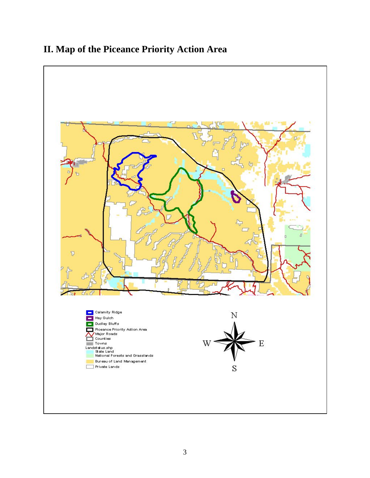# <span id="page-4-0"></span>**II. Map of the Piceance Priority Action Area**

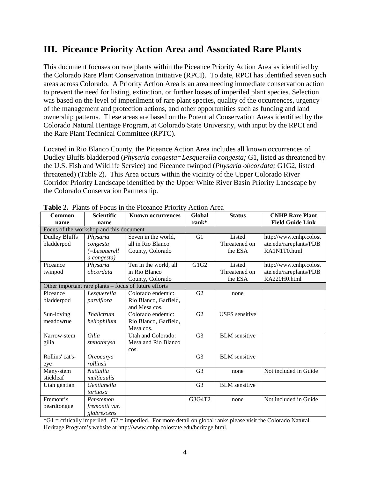## <span id="page-5-0"></span>**III. Piceance Priority Action Area and Associated Rare Plants**

This document focuses on rare plants within the Piceance Priority Action Area as identified by the Colorado Rare Plant Conservation Initiative (RPCI). To date, RPCI has identified seven such areas across Colorado. A Priority Action Area is an area needing immediate conservation action to prevent the need for listing, extinction, or further losses of imperiled plant species. Selection was based on the level of imperilment of rare plant species, quality of the occurrences, urgency of the management and protection actions, and other opportunities such as funding and land ownership patterns. These areas are based on the Potential Conservation Areas identified by the Colorado Natural Heritage Program, at Colorado State University, with input by the RPCI and the Rare Plant Technical Committee (RPTC).

Located in Rio Blanco County, the Piceance Action Area includes all known occurrences of Dudley Bluffs bladderpod (*Physaria congesta=Lesquerella congesta;* G1, listed as threatened by the U.S. Fish and Wildlife Service) and Piceance twinpod (*Physaria obcordata;* G1G2, listed threatened) (Table 2). This Area occurs within the vicinity of the Upper Colorado River Corridor Priority Landscape identified by the Upper White River Basin Priority Landscape by the Colorado Conservation Partnership.

|                 |                                         | $\blacksquare$ . There is a consequence of $\blacksquare$ |                |                       |                         |
|-----------------|-----------------------------------------|-----------------------------------------------------------|----------------|-----------------------|-------------------------|
| <b>Common</b>   | <b>Scientific</b>                       | <b>Known occurrences</b>                                  | Global         | <b>Status</b>         | <b>CNHP Rare Plant</b>  |
| name            | name                                    |                                                           | rank*          |                       | <b>Field Guide Link</b> |
|                 | Focus of the workshop and this document |                                                           |                |                       |                         |
| Dudley Bluffs   | Physaria                                | Seven in the world,                                       | G1             | Listed                | http://www.cnhp.colost  |
| bladderpod      | congesta                                | all in Rio Blanco                                         |                | Threatened on         | ate.edu/rareplants/PDB  |
|                 | $(=\angle$ <i>Lesquerell</i>            | County, Colorado                                          |                | the ESA               | RA1N1T0.html            |
|                 | a congesta)                             |                                                           |                |                       |                         |
| Piceance        | Physaria                                | Ten in the world, all                                     | G1G2           | Listed                | http://www.cnhp.colost  |
| twinpod         | obcordata                               | in Rio Blanco                                             |                | Threatened on         | ate.edu/rareplants/PDB  |
|                 |                                         | County, Colorado                                          |                | the ESA               | RA220H0.html            |
|                 |                                         | Other important rare plants – focus of future efforts     |                |                       |                         |
| Piceance        | Lesquerella                             | Colorado endemic:                                         | G2             | none                  |                         |
| bladderpod      | parviflora                              | Rio Blanco, Garfield,                                     |                |                       |                         |
|                 |                                         | and Mesa cos.                                             |                |                       |                         |
| Sun-loving      | <b>Thalictrum</b>                       | Colorado endemic:                                         | G2             | <b>USFS</b> sensitive |                         |
| meadowrue       | heliophilum                             | Rio Blanco, Garfield,                                     |                |                       |                         |
|                 |                                         | Mesa cos.                                                 |                |                       |                         |
| Narrow-stem     | Gilia                                   | Utah and Colorado:                                        | G <sub>3</sub> | <b>BLM</b> sensitive  |                         |
| gilia           | stenothrysa                             | Mesa and Rio Blanco                                       |                |                       |                         |
|                 |                                         | cos.                                                      |                |                       |                         |
| Rollins' cat's- | Oreocarya                               |                                                           | G <sub>3</sub> | <b>BLM</b> sensitive  |                         |
| eye             | rollinsii                               |                                                           |                |                       |                         |
| Many-stem       | <b>Nuttallia</b>                        |                                                           | G <sub>3</sub> | none                  | Not included in Guide   |
| stickleaf       | multicaulis                             |                                                           |                |                       |                         |
| Utah gentian    | Gentianella                             |                                                           | G <sub>3</sub> | <b>BLM</b> sensitive  |                         |
|                 | tortuosa                                |                                                           |                |                       |                         |
| Fremont's       | Penstemon                               |                                                           | G3G4T2         | none                  | Not included in Guide   |
| beardtongue     | fremontii var.                          |                                                           |                |                       |                         |
|                 | glabrescens                             |                                                           |                |                       |                         |

**Table 2.** Plants of Focus in the Piceance Priority Action Area

 $*G1$  = critically imperiled.  $G2$  = imperiled. For more detail on global ranks please visit the Colorado Natural Heritage Program's website at http://www.cnhp.colostate.edu/heritage.html.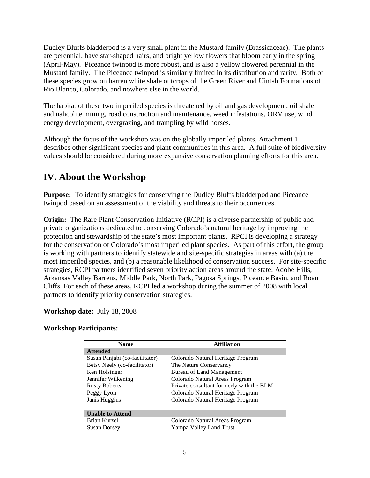Dudley Bluffs bladderpod is a very small plant in the Mustard family (Brassicaceae). The plants are perennial, have star-shaped hairs, and bright yellow flowers that bloom early in the spring (April-May). Piceance twinpod is more robust, and is also a yellow flowered perennial in the Mustard family. The Piceance twinpod is similarly limited in its distribution and rarity. Both of these species grow on barren white shale outcrops of the Green River and Uintah Formations of Rio Blanco, Colorado, and nowhere else in the world.

The habitat of these two imperiled species is threatened by oil and gas development, oil shale and nahcolite mining, road construction and maintenance, weed infestations, ORV use, wind energy development, overgrazing, and trampling by wild horses.

Although the focus of the workshop was on the globally imperiled plants, Attachment 1 describes other significant species and plant communities in this area. A full suite of biodiversity values should be considered during more expansive conservation planning efforts for this area.

# <span id="page-6-0"></span>**IV. About the Workshop**

**Purpose:** To identify strategies for conserving the Dudley Bluffs bladderpod and Piceance twinpod based on an assessment of the viability and threats to their occurrences.

**Origin:** The Rare Plant Conservation Initiative (RCPI) is a diverse partnership of public and private organizations dedicated to conserving Colorado's natural heritage by improving the protection and stewardship of the state's most important plants. RPCI is developing a strategy for the conservation of Colorado's most imperiled plant species. As part of this effort, the group is working with partners to identify statewide and site-specific strategies in areas with (a) the most imperiled species, and (b) a reasonable likelihood of conservation success. For site-specific strategies, RCPI partners identified seven priority action areas around the state: Adobe Hills, Arkansas Valley Barrens, Middle Park, North Park, Pagosa Springs, Piceance Basin, and Roan Cliffs. For each of these areas, RCPI led a workshop during the summer of 2008 with local partners to identify priority conservation strategies.

#### **Workshop date:** July 18, 2008

#### **Workshop Participants:**

| <b>Name</b>                    | <b>Affiliation</b>                       |
|--------------------------------|------------------------------------------|
| <b>Attended</b>                |                                          |
| Susan Panjabi (co-facilitator) | Colorado Natural Heritage Program        |
| Betsy Neely (co-facilitator)   | The Nature Conservancy                   |
| Ken Holsinger                  | Bureau of Land Management                |
| Jennifer Wilkening             | Colorado Natural Areas Program           |
| <b>Rusty Roberts</b>           | Private consultant formerly with the BLM |
| Peggy Lyon                     | Colorado Natural Heritage Program        |
| Janis Huggins                  | Colorado Natural Heritage Program        |
|                                |                                          |
| <b>Unable to Attend</b>        |                                          |
| Brian Kurzel                   | Colorado Natural Areas Program           |
| <b>Susan Dorsey</b>            | Yampa Valley Land Trust                  |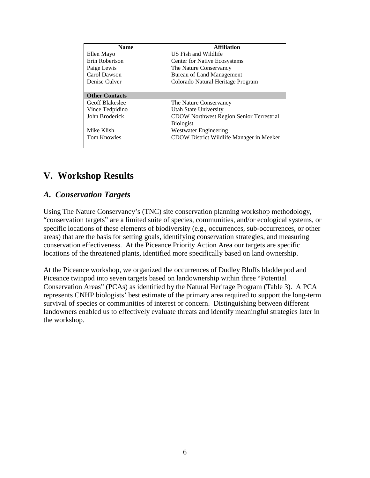| <b>Name</b>            | <b>Affiliation</b>                              |
|------------------------|-------------------------------------------------|
| Ellen Mayo             | US Fish and Wildlife                            |
| Erin Robertson         | <b>Center for Native Ecosystems</b>             |
| Paige Lewis            | The Nature Conservancy                          |
| Carol Dawson           | Bureau of Land Management                       |
| Denise Culver          | Colorado Natural Heritage Program               |
|                        |                                                 |
| <b>Other Contacts</b>  |                                                 |
| <b>Geoff Blakeslee</b> | The Nature Conservancy                          |
| Vince Tedpidino        | Utah State University                           |
| John Broderick         | <b>CDOW Northwest Region Senior Terrestrial</b> |
|                        | <b>Biologist</b>                                |
| Mike Klish             | Westwater Engineering                           |
| <b>Tom Knowles</b>     | CDOW District Wildlife Manager in Meeker        |
|                        |                                                 |

## <span id="page-7-0"></span>**V. Workshop Results**

#### <span id="page-7-1"></span>*A. Conservation Targets*

Using The Nature Conservancy's (TNC) site conservation planning workshop methodology, "conservation targets" are a limited suite of species, communities, and/or ecological systems, or specific locations of these elements of biodiversity (e.g., occurrences, sub-occurrences, or other areas) that are the basis for setting goals, identifying conservation strategies, and measuring conservation effectiveness. At the Piceance Priority Action Area our targets are specific locations of the threatened plants, identified more specifically based on land ownership.

At the Piceance workshop, we organized the occurrences of Dudley Bluffs bladderpod and Piceance twinpod into seven targets based on landownership within three "Potential Conservation Areas" (PCAs) as identified by the Natural Heritage Program (Table 3). A PCA represents CNHP biologists' best estimate of the primary area required to support the long-term survival of species or communities of interest or concern. Distinguishing between different landowners enabled us to effectively evaluate threats and identify meaningful strategies later in the workshop.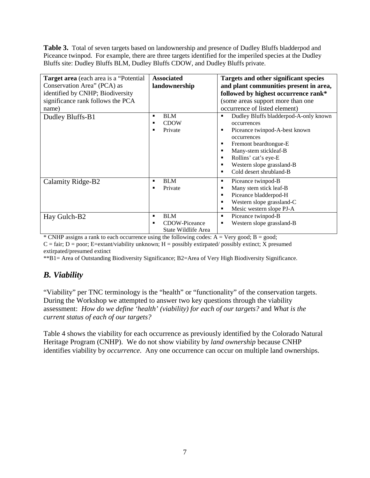**Table 3.** Total of seven targets based on landownership and presence of Dudley Bluffs bladderpod and Piceance twinpod. For example, there are three targets identified for the imperiled species at the Dudley Bluffs site: Dudley Bluffs BLM, Dudley Bluffs CDOW, and Dudley Bluffs private.

| <b>Target area</b> (each area is a "Potential"<br>Conservation Area" (PCA) as<br>identified by CNHP; Biodiversity<br>significance rank follows the PCA<br>name) | <b>Associated</b><br>landownership                           | Targets and other significant species<br>and plant communities present in area,<br>followed by highest occurrence rank*<br>(some areas support more than one<br>occurrence of listed element)                                                                             |
|-----------------------------------------------------------------------------------------------------------------------------------------------------------------|--------------------------------------------------------------|---------------------------------------------------------------------------------------------------------------------------------------------------------------------------------------------------------------------------------------------------------------------------|
| Dudley Bluffs-B1                                                                                                                                                | <b>BLM</b><br>٠<br><b>CDOW</b><br>Private                    | Dudley Bluffs bladderpod-A-only known<br>٠<br>occurrences<br>Piceance twinpod-A-best known<br>п<br>occurrences<br>Fremont beardtongue-E<br>п<br>Many-stem stickleaf-B<br>п<br>Rollins' cat's eye-E<br>п<br>Western slope grassland-B<br>п<br>Cold desert shrubland-B<br>п |
| Calamity Ridge-B2                                                                                                                                               | <b>BLM</b><br>٠<br>Private<br>٠                              | Piceance twinpod-B<br>٠<br>Many stem stick leaf-B<br>п<br>Piceance bladderpod-H<br>п<br>Western slope grassland-C<br>п<br>Mesic western slope PJ-A<br>п                                                                                                                   |
| Hay Gulch-B2                                                                                                                                                    | <b>BLM</b><br>٠<br>CDOW-Piceance<br>٠<br>State Wildlife Area | Piceance twinpod-B<br>٠<br>Western slope grassland-B<br>г                                                                                                                                                                                                                 |

\* CNHP assigns a rank to each occurrence using the following codes:  $A = V$ ery good;  $B =$  good;  $C = \text{fair; } D = \text{poor; } E = \text{extant/viability unknown; } H = \text{possibly extinct; } X \text{ presumed}$ extirpated/presumed extinct

\*\*B1= Area of Outstanding Biodiversity Significance; B2=Area of Very High Biodiversity Significance.

### <span id="page-8-0"></span>*B. Viability*

"Viability" per TNC terminology is the "health" or "functionality" of the conservation targets. During the Workshop we attempted to answer two key questions through the viability assessment: *How do we define 'health' (viability) for each of our targets?* and *What is the current status of each of our targets?*

Table 4 shows the viability for each occurrence as previously identified by the Colorado Natural Heritage Program (CNHP). We do not show viability by *land ownership* because CNHP identifies viability by *occurrence*. Any one occurrence can occur on multiple land ownerships.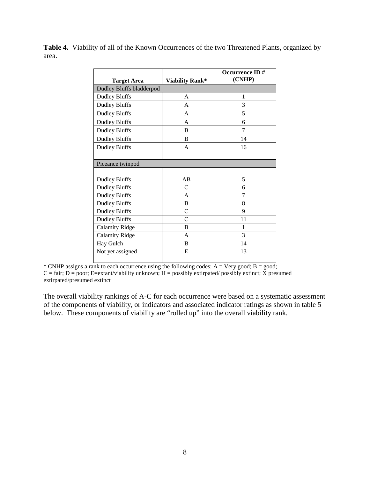Table 4. Viability of all of the Known Occurrences of the two Threatened Plants, organized by area.

| <b>Target Area</b>       | Viability Rank* | Occurrence ID#<br>(CNHP) |
|--------------------------|-----------------|--------------------------|
| Dudley Bluffs bladderpod |                 |                          |
| <b>Dudley Bluffs</b>     | A               | 1                        |
| <b>Dudley Bluffs</b>     | A               | 3                        |
| <b>Dudley Bluffs</b>     | A               | 5                        |
| <b>Dudley Bluffs</b>     | A               | 6                        |
| <b>Dudley Bluffs</b>     | B               | 7                        |
| <b>Dudley Bluffs</b>     | B               | 14                       |
| <b>Dudley Bluffs</b>     | A               | 16                       |
|                          |                 |                          |
| Piceance twinpod         |                 |                          |
|                          |                 |                          |
| <b>Dudley Bluffs</b>     | AB              | 5                        |
| <b>Dudley Bluffs</b>     | C               | 6                        |
| <b>Dudley Bluffs</b>     | A               | 7                        |
| <b>Dudley Bluffs</b>     | B               | 8                        |
| <b>Dudley Bluffs</b>     | $\mathcal{C}$   | 9                        |
| <b>Dudley Bluffs</b>     | $\mathcal{C}$   | 11                       |
| <b>Calamity Ridge</b>    | B               | 1                        |
| <b>Calamity Ridge</b>    | A               | 3                        |
| Hay Gulch                | B               | 14                       |
| Not yet assigned         | E               | 13                       |

\* CNHP assigns a rank to each occurrence using the following codes:  $A = Very good; B = good;$  $C = \text{fair}$ ; D = poor; E=extant/viability unknown; H = possibly extirpated/ possibly extinct; X presumed extirpated/presumed extinct

The overall viability rankings of A-C for each occurrence were based on a systematic assessment of the components of viability, or indicators and associated indicator ratings as shown in table 5 below. These components of viability are "rolled up" into the overall viability rank.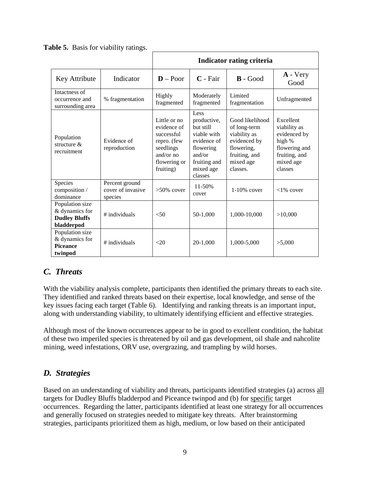|                                                                         |                                                | Indicator rating criteria                                                                                         |                                                                                                                               |                                                                                                                         |                                                                                                               |  |  |  |
|-------------------------------------------------------------------------|------------------------------------------------|-------------------------------------------------------------------------------------------------------------------|-------------------------------------------------------------------------------------------------------------------------------|-------------------------------------------------------------------------------------------------------------------------|---------------------------------------------------------------------------------------------------------------|--|--|--|
| Key Attribute                                                           | Indicator                                      | $D - Poor$                                                                                                        | $C$ - Fair                                                                                                                    | $\mathbf{B}$ - Good                                                                                                     | A - Very<br>Good                                                                                              |  |  |  |
| Intactness of<br>occurrence and<br>surrounding area                     | % fragmentation                                | Highly<br>fragmented                                                                                              | Moderately<br>fragmented                                                                                                      | Limited<br>fragmentation                                                                                                | Unfragmented                                                                                                  |  |  |  |
| Population<br>structure $\&$<br>recruitment                             | Evidence of<br>reproduction                    | Little or no<br>evidence of<br>successful<br>repro. (few<br>seedlings<br>and/or $no$<br>flowering or<br>fruiting) | Less<br>productive,<br>but still<br>viable with<br>evidence of<br>flowering<br>and/or<br>fruiting and<br>mixed age<br>classes | Good likelihood<br>of long-term<br>viability as<br>evidenced by<br>flowering,<br>fruiting, and<br>mixed age<br>classes. | Excellent<br>viability as<br>evidenced by<br>high %<br>flowering and<br>fruiting, and<br>mixed age<br>classes |  |  |  |
| Species<br>composition /<br>dominance                                   | Percent ground<br>cover of invasive<br>species | $>50\%$ cover                                                                                                     | $11 - 50%$<br>cover                                                                                                           | $1-10\%$ cover                                                                                                          | $<1\%$ cover                                                                                                  |  |  |  |
| Population size<br>& dynamics for<br><b>Dudley Bluffs</b><br>bladderpod | # individuals                                  | < 50                                                                                                              | 50-1,000                                                                                                                      | 1,000-10,000                                                                                                            | >10,000                                                                                                       |  |  |  |
| Population size<br>& dynamics for<br><b>Piceance</b><br>twinpod         | # individuals                                  | <20                                                                                                               | $20-1,000$                                                                                                                    | 1,000-5,000                                                                                                             | >5,000                                                                                                        |  |  |  |

**Table 5.** Basis for viability ratings.

## <span id="page-10-0"></span>*C. Threats*

With the viability analysis complete, participants then identified the primary threats to each site. They identified and ranked threats based on their expertise, local knowledge, and sense of the key issues facing each target (Table 6). Identifying and ranking threats is an important input, along with understanding viability, to ultimately identifying efficient and effective strategies.

Although most of the known occurrences appear to be in good to excellent condition, the habitat of these two imperiled species is threatened by oil and gas development, oil shale and nahcolite mining, weed infestations, ORV use, overgrazing, and trampling by wild horses.

#### <span id="page-10-1"></span>*D. Strategies*

Based on an understanding of viability and threats, participants identified strategies (a) across all targets for Dudley Bluffs bladderpod and Piceance twinpod and (b) for specific target occurrences. Regarding the latter, participants identified at least one strategy for all occurrences and generally focused on strategies needed to mitigate key threats. After brainstorming strategies, participants prioritized them as high, medium, or low based on their anticipated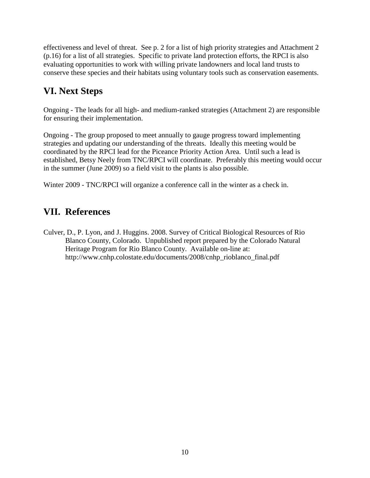effectiveness and level of threat. See p. 2 for a list of high priority strategies and Attachment 2 (p.16) for a list of all strategies. Specific to private land protection efforts, the RPCI is also evaluating opportunities to work with willing private landowners and local land trusts to conserve these species and their habitats using voluntary tools such as conservation easements.

# <span id="page-11-0"></span>**VI. Next Steps**

Ongoing - The leads for all high- and medium-ranked strategies (Attachment 2) are responsible for ensuring their implementation.

Ongoing - The group proposed to meet annually to gauge progress toward implementing strategies and updating our understanding of the threats. Ideally this meeting would be coordinated by the RPCI lead for the Piceance Priority Action Area. Until such a lead is established, Betsy Neely from TNC/RPCI will coordinate. Preferably this meeting would occur in the summer (June 2009) so a field visit to the plants is also possible.

Winter 2009 - TNC/RPCI will organize a conference call in the winter as a check in.

# <span id="page-11-1"></span>**VII. References**

Culver, D., P. Lyon, and J. Huggins. 2008. Survey of Critical Biological Resources of Rio Blanco County, Colorado. Unpublished report prepared by the Colorado Natural Heritage Program for Rio Blanco County. Available on-line at: http://www.cnhp.colostate.edu/documents/2008/cnhp\_rioblanco\_final.pdf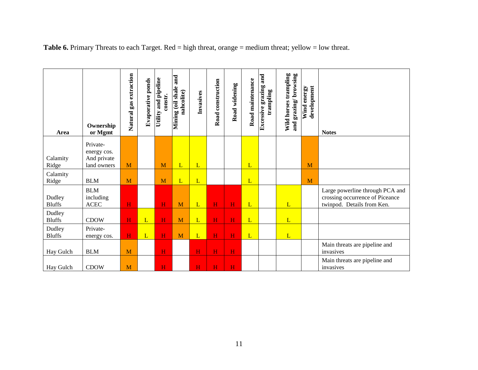| Area                    | Ownership<br>or Mgmt                                  | gas extraction<br>Natural | Evaporative ponds | Utility and pipeline<br>constr. | and<br>Mining (oil shale<br>nahcolite) | Invasives      | Road construction | Road widening | Road maintenance | and<br>grazing<br>trampling<br>Excessive | Wild horses trampling<br>and grazing/browsing | development<br>Wind energy | <b>Notes</b>                                                                                     |
|-------------------------|-------------------------------------------------------|---------------------------|-------------------|---------------------------------|----------------------------------------|----------------|-------------------|---------------|------------------|------------------------------------------|-----------------------------------------------|----------------------------|--------------------------------------------------------------------------------------------------|
| Calamity<br>Ridge       | Private-<br>energy cos.<br>And private<br>land owners | M                         |                   | M                               | L                                      | $\overline{L}$ |                   |               | L                |                                          |                                               | M                          |                                                                                                  |
| Calamity<br>Ridge       | <b>BLM</b>                                            | M                         |                   | M                               | L                                      | L              |                   |               | L                |                                          |                                               | M                          |                                                                                                  |
| Dudley<br><b>Bluffs</b> | <b>BLM</b><br>including<br>ACEC                       | H                         |                   | H                               | M                                      | L              | H                 | H             | L                |                                          | L                                             |                            | Large powerline through PCA and<br>crossing occurrence of Piceance<br>twinpod. Details from Ken. |
| Dudley<br><b>Bluffs</b> | <b>CDOW</b>                                           | H                         | L                 | $\overline{H}$                  | M                                      | L              | H                 | H             | L                |                                          | L                                             |                            |                                                                                                  |
| Dudley<br><b>Bluffs</b> | Private-<br>energy cos.                               | H                         | L                 | $\overline{\mathbf{H}}$         | M                                      | L              | $\mathbf H$       | $\mathbf H$   | L                |                                          | L                                             |                            |                                                                                                  |
| Hay Gulch               | <b>BLM</b>                                            | M                         |                   | H                               |                                        | H              | H                 | H             |                  |                                          |                                               |                            | Main threats are pipeline and<br>invasives                                                       |
| Hay Gulch               | <b>CDOW</b>                                           | M                         |                   | Ĥ                               |                                        | H              | H                 | H             |                  |                                          |                                               |                            | Main threats are pipeline and<br>invasives                                                       |

**Table 6.** Primary Threats to each Target. Red = high threat, orange = medium threat; yellow = low threat.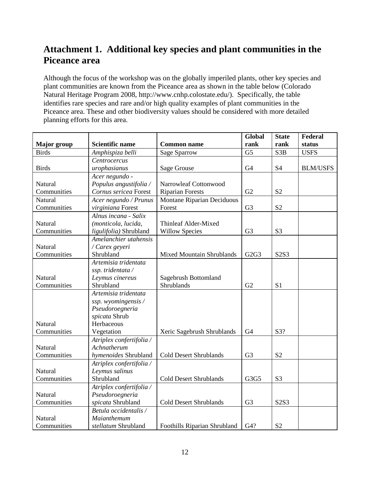# <span id="page-13-0"></span>**Attachment 1. Additional key species and plant communities in the Piceance area**

Although the focus of the workshop was on the globally imperiled plants, other key species and plant communities are known from the Piceance area as shown in the table below (Colorado Natural Heritage Program 2008, http://www.cnhp.colostate.edu/). Specifically, the table identifies rare species and rare and/or high quality examples of plant communities in the Piceance area. These and other biodiversity values should be considered with more detailed planning efforts for this area.

|                    |                          |                                  | Global         | <b>State</b>     | Federal         |
|--------------------|--------------------------|----------------------------------|----------------|------------------|-----------------|
| <b>Major</b> group | <b>Scientific name</b>   | <b>Common name</b>               | rank           | rank             | status          |
| <b>Birds</b>       | Amphispiza belli         | <b>Sage Sparrow</b>              | G <sub>5</sub> | S <sub>3</sub> B | <b>USFS</b>     |
|                    | Centrocercus             |                                  |                |                  |                 |
| <b>Birds</b>       | urophasianus             | Sage Grouse                      | G <sub>4</sub> | <b>S4</b>        | <b>BLM/USFS</b> |
|                    | Acer negundo -           |                                  |                |                  |                 |
| Natural            | Populus angustifolia /   | Narrowleaf Cottonwood            |                |                  |                 |
| Communities        | Cornus sericea Forest    | <b>Riparian Forests</b>          | G2             | S <sub>2</sub>   |                 |
| Natural            | Acer negundo / Prunus    | Montane Riparian Deciduous       |                |                  |                 |
| Communities        | virginiana Forest        | Forest                           | G <sub>3</sub> | S <sub>2</sub>   |                 |
|                    | Alnus incana - Salix     |                                  |                |                  |                 |
| Natural            | (monticola, lucida,      | Thinleaf Alder-Mixed             |                |                  |                 |
| Communities        | ligulifolia) Shrubland   | <b>Willow Species</b>            | G <sub>3</sub> | S <sub>3</sub>   |                 |
|                    | Amelanchier utahensis    |                                  |                |                  |                 |
| Natural            | / Carex geyeri           |                                  |                |                  |                 |
| Communities        | Shrubland                | <b>Mixed Mountain Shrublands</b> | G2G3           | S2S3             |                 |
|                    | Artemisia tridentata     |                                  |                |                  |                 |
|                    | ssp. tridentata /        |                                  |                |                  |                 |
| Natural            | Leymus cinereus          | Sagebrush Bottomland             |                |                  |                 |
| Communities        | Shrubland                | Shrublands                       | G2             | S <sub>1</sub>   |                 |
|                    | Artemisia tridentata     |                                  |                |                  |                 |
|                    | ssp. wyomingensis /      |                                  |                |                  |                 |
|                    | Pseudoroegneria          |                                  |                |                  |                 |
|                    | spicata Shrub            |                                  |                |                  |                 |
| Natural            | Herbaceous               |                                  |                |                  |                 |
| Communities        | Vegetation               | Xeric Sagebrush Shrublands       | G <sub>4</sub> | S3?              |                 |
|                    | Atriplex confertifolia / |                                  |                |                  |                 |
| Natural            | Achnatherum              |                                  |                |                  |                 |
| Communities        | hymenoides Shrubland     | <b>Cold Desert Shrublands</b>    | G <sub>3</sub> | S <sub>2</sub>   |                 |
|                    | Atriplex confertifolia / |                                  |                |                  |                 |
| Natural            | Leymus salinus           |                                  |                |                  |                 |
| Communities        | Shrubland                | <b>Cold Desert Shrublands</b>    | G3G5           | S <sub>3</sub>   |                 |
|                    | Atriplex confertifolia / |                                  |                |                  |                 |
| Natural            | Pseudoroegneria          |                                  |                |                  |                 |
| Communities        | spicata Shrubland        | <b>Cold Desert Shrublands</b>    | G <sub>3</sub> | S2S3             |                 |
|                    | Betula occidentalis /    |                                  |                |                  |                 |
| Natural            | Maianthemum              |                                  |                |                  |                 |
| Communities        | stellatum Shrubland      | Foothills Riparian Shrubland     | G4?            | S <sub>2</sub>   |                 |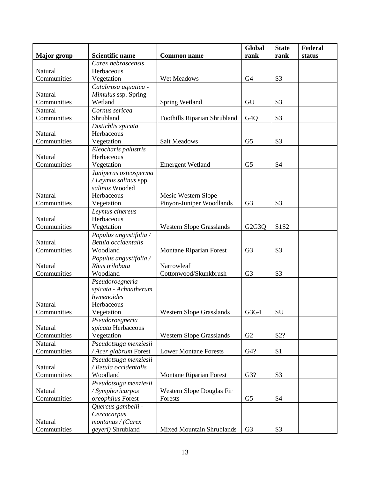|                    |                                          |                                  | Global                          | <b>State</b>   | Federal |
|--------------------|------------------------------------------|----------------------------------|---------------------------------|----------------|---------|
| <b>Major</b> group | <b>Scientific name</b>                   | <b>Common name</b>               | rank                            | rank           | status  |
|                    | Carex nebrascensis                       |                                  |                                 |                |         |
| Natural            | Herbaceous                               |                                  |                                 |                |         |
| Communities        | Vegetation                               | Wet Meadows                      | G <sub>4</sub>                  | S <sub>3</sub> |         |
|                    | Catabrosa aquatica -                     |                                  |                                 |                |         |
| Natural            | Mimulus ssp. Spring                      |                                  |                                 |                |         |
| Communities        | Wetland                                  | Spring Wetland                   | GU                              | S <sub>3</sub> |         |
| Natural            | Cornus sericea                           |                                  |                                 |                |         |
| Communities        | Shrubland                                | Foothills Riparian Shrubland     | G <sub>4</sub> Q                | S <sub>3</sub> |         |
|                    | Distichlis spicata                       |                                  |                                 |                |         |
| Natural            | Herbaceous                               |                                  |                                 |                |         |
| Communities        | Vegetation                               | <b>Salt Meadows</b>              | G <sub>5</sub>                  | S <sub>3</sub> |         |
|                    | Eleocharis palustris                     |                                  |                                 |                |         |
| Natural            | Herbaceous                               |                                  |                                 |                |         |
| Communities        | Vegetation                               | <b>Emergent Wetland</b>          | G <sub>5</sub>                  | <b>S4</b>      |         |
|                    | Juniperus osteosperma                    |                                  |                                 |                |         |
|                    | / Leymus salinus spp.                    |                                  |                                 |                |         |
|                    | salinus Wooded                           |                                  |                                 |                |         |
| Natural            | Herbaceous                               | Mesic Western Slope              |                                 |                |         |
| Communities        | Vegetation                               | Pinyon-Juniper Woodlands         | G <sub>3</sub>                  | S <sub>3</sub> |         |
|                    | Leymus cinereus                          |                                  |                                 |                |         |
| Natural            | Herbaceous                               |                                  |                                 |                |         |
| Communities        | Vegetation                               | <b>Western Slope Grasslands</b>  | G <sub>2</sub> G <sub>3</sub> Q | S1S2           |         |
|                    | Populus angustifolia /                   |                                  |                                 |                |         |
| Natural            | Betula occidentalis                      |                                  |                                 |                |         |
| Communities        | Woodland                                 | <b>Montane Riparian Forest</b>   | G <sub>3</sub>                  | S <sub>3</sub> |         |
| Natural            | Populus angustifolia /<br>Rhus trilobata | Narrowleaf                       |                                 |                |         |
| Communities        | Woodland                                 | Cottonwood/Skunkbrush            | G <sub>3</sub>                  | S <sub>3</sub> |         |
|                    | Pseudoroegneria                          |                                  |                                 |                |         |
|                    | spicata - Achnatherum                    |                                  |                                 |                |         |
|                    | hymenoides                               |                                  |                                 |                |         |
| Natural            | Herbaceous                               |                                  |                                 |                |         |
| Communities        | Vegetation                               | <b>Western Slope Grasslands</b>  | G3G4                            | SU             |         |
|                    | Pseudoroegneria                          |                                  |                                 |                |         |
| Natural            | spicata Herbaceous                       |                                  |                                 |                |         |
| Communities        | Vegetation                               | <b>Western Slope Grasslands</b>  | G2                              | S2?            |         |
| Natural            | Pseudotsuga menziesii                    |                                  |                                 |                |         |
| Communities        | / Acer glabrum Forest                    | <b>Lower Montane Forests</b>     | G4?                             | S1             |         |
|                    | Pseudotsuga menziesii                    |                                  |                                 |                |         |
| Natural            | / Betula occidentalis                    |                                  |                                 |                |         |
| Communities        | Woodland                                 | <b>Montane Riparian Forest</b>   | G3?                             | S <sub>3</sub> |         |
|                    | Pseudotsuga menziesii                    |                                  |                                 |                |         |
| Natural            | / Symphoricarpos                         | Western Slope Douglas Fir        |                                 |                |         |
| Communities        | oreophilus Forest                        | Forests                          | G <sub>5</sub>                  | <b>S4</b>      |         |
|                    | Quercus gambelii -                       |                                  |                                 |                |         |
|                    | Cercocarpus                              |                                  |                                 |                |         |
| Natural            | montanus / (Carex                        |                                  |                                 |                |         |
| Communities        | geyeri) Shrubland                        | <b>Mixed Mountain Shrublands</b> | G <sub>3</sub>                  | S <sub>3</sub> |         |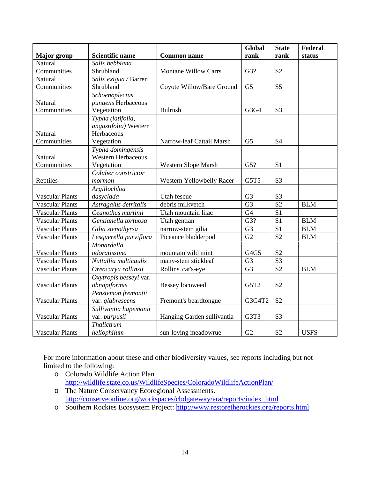|                        |                           |                            | Global          | <b>State</b>    | Federal     |
|------------------------|---------------------------|----------------------------|-----------------|-----------------|-------------|
| <b>Major</b> group     | <b>Scientific name</b>    | <b>Common name</b>         | rank            | rank            | status      |
| Natural                | Salix bebbiana            |                            |                 |                 |             |
| Communities            | Shrubland                 | Montane Willow Carrs       | G3?             | S <sub>2</sub>  |             |
| Natural                | Salix exigua / Barren     |                            |                 |                 |             |
| Communities            | Shrubland                 | Coyote Willow/Bare Ground  | G <sub>5</sub>  | S <sub>5</sub>  |             |
|                        | Schoenoplectus            |                            |                 |                 |             |
| Natural                | pungens Herbaceous        |                            |                 |                 |             |
| Communities            | Vegetation                | <b>Bulrush</b>             | G3G4            | S <sub>3</sub>  |             |
|                        | Typha (latifolia,         |                            |                 |                 |             |
|                        | angustifolia) Western     |                            |                 |                 |             |
| Natural                | Herbaceous                |                            |                 |                 |             |
| Communities            | Vegetation                | Narrow-leaf Cattail Marsh  | G <sub>5</sub>  | <b>S4</b>       |             |
|                        | Typha domingensis         |                            |                 |                 |             |
| Natural                | <b>Western Herbaceous</b> |                            |                 |                 |             |
| Communities            | Vegetation                | Western Slope Marsh        | G5?             | S <sub>1</sub>  |             |
|                        | Coluber constrictor       |                            |                 |                 |             |
| Reptiles               | mormon                    | Western Yellowbelly Racer  | G5T5            | S <sub>3</sub>  |             |
|                        | Argillochloa              |                            |                 |                 |             |
| <b>Vascular Plants</b> | dasyclada                 | Utah fescue                | G <sub>3</sub>  | S <sub>3</sub>  |             |
| <b>Vascular Plants</b> | Astragalus detritalis     | debris milkvetch           | G <sub>3</sub>  | S <sub>2</sub>  | <b>BLM</b>  |
| <b>Vascular Plants</b> | Ceanothus martinii        | Utah mountain lilac        | G <sub>4</sub>  | S <sub>1</sub>  |             |
| <b>Vascular Plants</b> | Gentianella tortuosa      | Utah gentian               | G3?             | S <sub>1</sub>  | <b>BLM</b>  |
| <b>Vascular Plants</b> | Gilia stenothyrsa         | narrow-stem gilia          | $\overline{G3}$ | $\overline{S1}$ | <b>BLM</b>  |
| <b>Vascular Plants</b> | Lesquerella parviflora    | Piceance bladderpod        | G <sub>2</sub>  | S <sub>2</sub>  | <b>BLM</b>  |
|                        | Monardella                |                            |                 |                 |             |
| <b>Vascular Plants</b> | odoratissima              | mountain wild mint         | G4G5            | S <sub>2</sub>  |             |
| <b>Vascular Plants</b> | Nuttallia multicaulis     | many-stem stickleaf        | G <sub>3</sub>  | S <sub>3</sub>  |             |
| <b>Vascular Plants</b> | Oreocarya rollinsii       | Rollins' cat's-eye         | G <sub>3</sub>  | S <sub>2</sub>  | <b>BLM</b>  |
|                        | Oxytropis besseyi var.    |                            |                 |                 |             |
| <b>Vascular Plants</b> | obnapiformis              | <b>Bessey</b> locoweed     | G5T2            | S <sub>2</sub>  |             |
|                        | Penstemon fremontii       |                            |                 |                 |             |
| <b>Vascular Plants</b> | var. glabrescens          | Fremont's beardtongue      | G3G4T2          | S <sub>2</sub>  |             |
|                        | Sullivantia hapemanii     |                            |                 |                 |             |
| <b>Vascular Plants</b> | var. purpusii             | Hanging Garden sullivantia | G3T3            | S <sub>3</sub>  |             |
|                        | Thalictrum                |                            |                 |                 |             |
| <b>Vascular Plants</b> | heliophilum               | sun-loving meadowrue       | G <sub>2</sub>  | S <sub>2</sub>  | <b>USFS</b> |

For more information about these and other biodiversity values, see reports including but not limited to the following:

- o Colorado Wildlife Action Plan <http://wildlife.state.co.us/WildlifeSpecies/ColoradoWildlifeActionPlan/>
- o The Nature Conservancy Ecoregional Assessments. [http://conserveonline.org/workspaces/cbdgateway/era/reports/index\\_html](http://conserveonline.org/workspaces/cbdgateway/era/reports/index_html)
- o Southern Rockies Ecosystem Project:<http://www.restoretherockies.org/reports.html>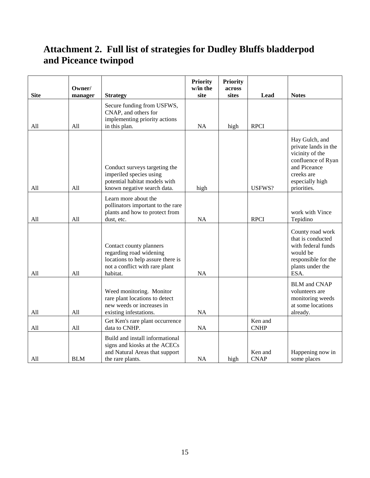# <span id="page-16-0"></span>**Attachment 2. Full list of strategies for Dudley Bluffs bladderpod and Piceance twinpod**

| <b>Site</b> | Owner/<br>manager | <b>Strategy</b>                                                                                                                       | <b>Priority</b><br>w/in the<br>site | <b>Priority</b><br>across<br>sites | Lead                   | <b>Notes</b>                                                                                                                                    |
|-------------|-------------------|---------------------------------------------------------------------------------------------------------------------------------------|-------------------------------------|------------------------------------|------------------------|-------------------------------------------------------------------------------------------------------------------------------------------------|
| All         | All               | Secure funding from USFWS,<br>CNAP, and others for<br>implementing priority actions<br>in this plan.                                  | <b>NA</b>                           | high                               | <b>RPCI</b>            |                                                                                                                                                 |
| All         | All               | Conduct surveys targeting the<br>imperiled species using<br>potential habitat models with<br>known negative search data.              | high                                |                                    | USFWS?                 | Hay Gulch, and<br>private lands in the<br>vicinity of the<br>confluence of Ryan<br>and Piceance<br>creeks are<br>especially high<br>priorities. |
| All         | All               | Learn more about the<br>pollinators important to the rare<br>plants and how to protect from<br>dust, etc.                             | NA                                  |                                    | <b>RPCI</b>            | work with Vince<br>Tepidino                                                                                                                     |
| All         | All               | Contact county planners<br>regarding road widening<br>locations to help assure there is<br>not a conflict with rare plant<br>habitat. | NA                                  |                                    |                        | County road work<br>that is conducted<br>with federal funds<br>would be<br>responsible for the<br>plants under the<br>ESA.                      |
| All         | All               | Weed monitoring. Monitor<br>rare plant locations to detect<br>new weeds or increases in<br>existing infestations.                     | NA                                  |                                    |                        | <b>BLM</b> and CNAP<br>volunteers are<br>monitoring weeds<br>at some locations<br>already.                                                      |
| All         | All               | Get Ken's rare plant occurrence<br>data to CNHP.                                                                                      | NA                                  |                                    | Ken and<br><b>CNHP</b> |                                                                                                                                                 |
| All         | <b>BLM</b>        | Build and install informational<br>signs and kiosks at the ACECs<br>and Natural Areas that support<br>the rare plants.                | NA                                  | high                               | Ken and<br><b>CNAP</b> | Happening now in<br>some places                                                                                                                 |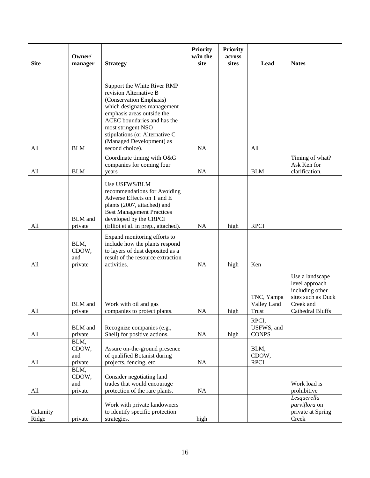|                   | Owner/                    |                                                                       | <b>Priority</b><br>w/in the | <b>Priority</b><br>across |                            |                                       |
|-------------------|---------------------------|-----------------------------------------------------------------------|-----------------------------|---------------------------|----------------------------|---------------------------------------|
| <b>Site</b>       | manager                   | <b>Strategy</b>                                                       | site                        | sites                     | Lead                       | <b>Notes</b>                          |
|                   |                           |                                                                       |                             |                           |                            |                                       |
|                   |                           | Support the White River RMP                                           |                             |                           |                            |                                       |
|                   |                           | revision Alternative B                                                |                             |                           |                            |                                       |
|                   |                           | (Conservation Emphasis)                                               |                             |                           |                            |                                       |
|                   |                           | which designates management<br>emphasis areas outside the             |                             |                           |                            |                                       |
|                   |                           | ACEC boundaries and has the                                           |                             |                           |                            |                                       |
|                   |                           | most stringent NSO                                                    |                             |                           |                            |                                       |
|                   |                           | stipulations (or Alternative C<br>(Managed Development) as            |                             |                           |                            |                                       |
| All               | <b>BLM</b>                | second choice).                                                       | <b>NA</b>                   |                           | All                        |                                       |
|                   |                           | Coordinate timing with O&G                                            |                             |                           |                            | Timing of what?                       |
| All               | <b>BLM</b>                | companies for coming four                                             | <b>NA</b>                   |                           | <b>BLM</b>                 | Ask Ken for<br>clarification.         |
|                   |                           | years                                                                 |                             |                           |                            |                                       |
|                   |                           | Use USFWS/BLM<br>recommendations for Avoiding                         |                             |                           |                            |                                       |
|                   |                           | Adverse Effects on T and E                                            |                             |                           |                            |                                       |
|                   |                           | plants (2007, attached) and                                           |                             |                           |                            |                                       |
|                   | <b>BLM</b> and            | <b>Best Management Practices</b><br>developed by the CRPCI            |                             |                           |                            |                                       |
| All               | private                   | (Elliot et al. in prep., attached).                                   | NA                          | high                      | <b>RPCI</b>                |                                       |
|                   |                           | Expand monitoring efforts to                                          |                             |                           |                            |                                       |
|                   | BLM,                      | include how the plants respond                                        |                             |                           |                            |                                       |
|                   | CDOW,<br>and              | to layers of dust deposited as a<br>result of the resource extraction |                             |                           |                            |                                       |
| All               | private                   | activities.                                                           | NA                          | high                      | Ken                        |                                       |
|                   |                           |                                                                       |                             |                           |                            | Use a landscape                       |
|                   |                           |                                                                       |                             |                           |                            | level approach                        |
|                   |                           |                                                                       |                             |                           | TNC, Yampa                 | including other<br>sites such as Duck |
|                   | <b>BLM</b> and            | Work with oil and gas                                                 |                             |                           | Valley Land                | Creek and                             |
| All               | private                   | companies to protect plants.                                          | <b>NA</b>                   | high                      | Trust                      | Cathedral Bluffs                      |
|                   |                           |                                                                       |                             |                           | RPCI,                      |                                       |
| All               | <b>BLM</b> and<br>private | Recognize companies (e.g.,<br>Shell) for positive actions.            | NA                          | high                      | USFWS, and<br><b>CONPS</b> |                                       |
|                   | BLM,                      |                                                                       |                             |                           |                            |                                       |
|                   | CDOW,                     | Assure on-the-ground presence                                         |                             |                           | BLM,                       |                                       |
| All               | and<br>private            | of qualified Botanist during<br>projects, fencing, etc.               | NA                          |                           | CDOW,<br><b>RPCI</b>       |                                       |
|                   | BLM,                      |                                                                       |                             |                           |                            |                                       |
|                   | CDOW,                     | Consider negotiating land                                             |                             |                           |                            |                                       |
| All               | and<br>private            | trades that would encourage<br>protection of the rare plants.         | <b>NA</b>                   |                           |                            | Work load is<br>prohibitive           |
|                   |                           |                                                                       |                             |                           |                            | Lesquerella                           |
|                   |                           | Work with private landowners                                          |                             |                           |                            | parviflora on                         |
| Calamity<br>Ridge | private                   | to identify specific protection<br>strategies.                        | high                        |                           |                            | private at Spring<br>Creek            |
|                   |                           |                                                                       |                             |                           |                            |                                       |